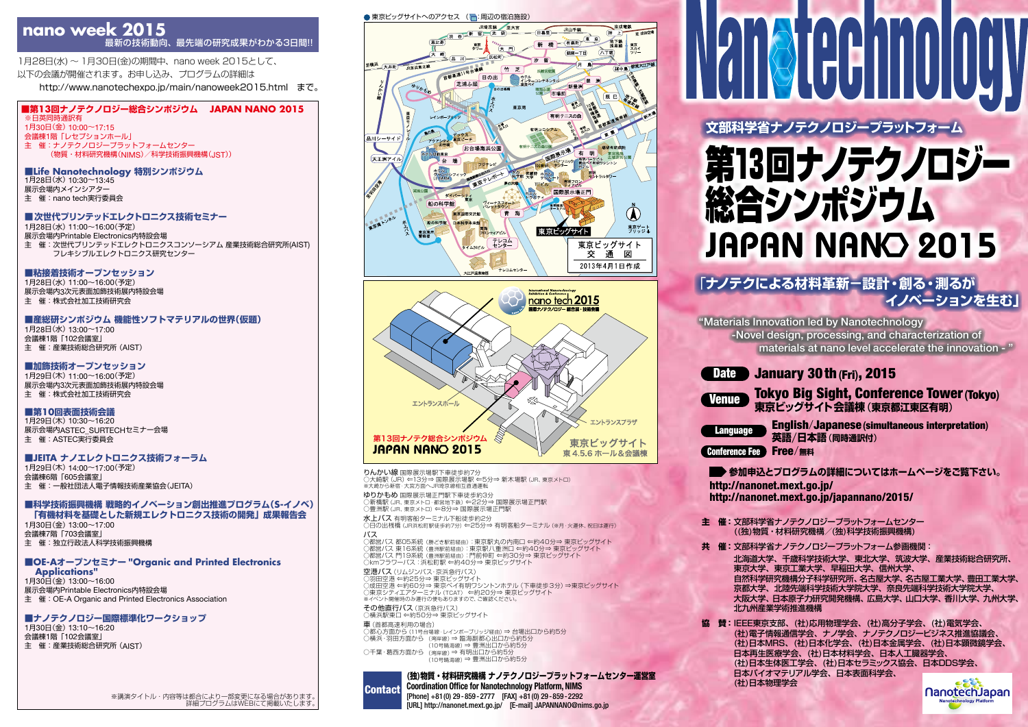## **nano week 2015** 最新の技術動向、最先端の研究成果がわかる3日間!!

1月28日(水) ~ 1月30日(金)の期間中、nano week 2015として、 以下の会議が開催されます。お申し込み、プログラムの詳細は http://www.nanotechexpo.jp/main/nanoweek2015.html まで。

#### **■第13回ナノテクノロジー総合シンポジウム JAPAN NANO 2015** ※日英同時通訳有 1月30日(金)10:00~17:15 会議棟1階「レセプションホール」 主 催:ナノテクノロジープラットフォームセンター

(物質・材料研究機構(NIMS)/科学技術振興機構(JST))

#### **■Life Nanotechnology 特別シンポジウム** 1月28日(水)10:30~13:45 展示会場内メインシアター 主 催:nano tech実行委員会

■次世代プリンテッドエレクトロニクス技術セミナー

1月28日(水)11:00~16:00(予定) 展示会場内Printable Electronics内特設会場 主 催:次世代プリンテッドエレクトロニクスコンソーシアム 産業技術総合研究所(AIST) フレキシブルエレクトロニクス研究センター

## **■粘接着技術オープンセッション**

1月28日(水)11:00~16:00(予定) 展示会場内3次元表面加飾技術展内特設会場 主 催:株式会社加工技術研究会

## **■産総研シンポジウム 機能性ソフトマテリアルの世界(仮題)**

1月28日(水)13:00~17:00 会議棟1階「102会議室」 主 催:産業技術総合研究所(AIST)

#### **■加飾技術オープンセッション**

1月29日(木)11:00~16:00(予定) 展示会場内3次元表面加飾技術展内特設会場 主 催:株式会社加工技術研究会

#### **■第10回表面技術会議**

1月29日(木)10:30~16:20 展示会場内ASTEC\_SURTECHセミナー会場 主 催:ASTEC実行委員会

#### **■JEITA ナノエレクトロニクス技術フォーラム**

1月29日(木)14:00~17:00(予定) 会議棟6階「605会議室」 主 催:一般社団法人電子情報技術産業協会(JEITA)

## **■科学技術振興機構 戦略的イノベーション創出推進プログラム(S-イノベ) 「有機材料を基礎とした新規エレクトロニクス技術の開発」成果報告会**

1月30日(金)13:00~17:00 会議棟7階「703会議室」 主 催:独立行政法人科学技術振興機構

## **■OE-Aオープンセミナー "Organic and Printed Electronics**

**Applications"** 1月30日(金) 13:00~16:00 展示会場内Printable Electronics内特設会場 主 催:OE-A Organic and Printed Electronics Association

#### ■ナノテクノロジー国際標準化ワークショップ

1月30日(金)13:10~16:20 会議棟1階「102会議室」 主 催:産業技術総合研究所(AIST)







りんかい線 国際展示場駅下車徒歩約7分 ○大崎駅(JR) ⇐13分⇒ 国際展示場駅 ⇐5分⇒ 新木場駅(JR、東京メトロ) ※大崎から新宿・大宮方面へJR埼京線相互直通運転

**ゆりかもめ** 国際展示場正門駅下車徒歩約3分<br>○新橋駅 (JR、東京メトロ・都営地下鉄) ←22分⇒ 国際展示場正門駅 ○豊洲駅(JR、東京メトロ) ⇐8分⇒ 国際展示場正門駅 水上バス 有明客船ターミナル下船徒歩約2分 ○日の出桟橋(JR浜松町駅徒歩約7分) ⇐25分⇒ 有明客船ターミナル(※月・火運休、祝日は運行)

バス

.<br>○都営バス 都05系統 (勝どき駅前経由):東京駅丸の内南口 ←約40分⇒ 東京ビッグサイト ○都営バス 東16系統 (豊洲駅前経由):東京駅八重洲口 ←約40分⇒ 東京ビッグサイト<br>○都営バス 門19系統 (豊洲駅前経由) :門前仲町 ←約030分⇒ 東京ビッグサイト<br>○kmフラワーバス : 浜松町駅 ←約40分⇒ 東京ビッグサイト

空港バス(リムジンバス·京浜急行バス) ・2010 → マンコンランバ、 ネット・マングリント<br>羽田空港 ←約25分⇒ 東京ビッグサイト ○成田空港 ⇐約60分⇒ 東京ベイ有明ワシントンホテル(下車徒歩3分)⇒東京ビッグサイト ○東京シティエアターミナル(TCAT) ⇐約20分⇒ 東京ビッグサイト ※イベント開催時のみ運行の便もありますので、ご確認ください。 その他直行バス (京浜急行バス)

○横浜駅東口 ⇐約50分⇒ 東京ビッグサイト ー Justice ......<br>| 車 (首都高速利用の場合)| ○都心方面から (11号台場線・レインボーブリッジ経由) ⇒ 台場出口から約5分<br>○横浜 ·羽田方面から (湾岸線)⇒ 臨海副都心出口から約5分<br>(10号晴海線) ⇒ 豊洲出口から約5分 ○千葉・葛西方面から (湾岸線)⇒ 有明出口から約5分 (10号晴海線)⇒ 豊洲出口から約5分

**(独)物質・材料研究機構 ナノテクノロジープラットフォームセンター運営室 Coordination Office for Nanotechnology Platform, NIMS** [Phone] +81(0) 29-859-2777 [FAX] +81(0) 29-859-2292 [URL] http://nanonet.mext.go.jp/ [E-mail] JAPANNANO@nims.go.jp Contact

# ansteemo

**文部科学省ナノテクノロジープラットフォーム 文部科学省ナノテクノロジープラットフォーム**第13回ナノテクノロジー 総合シンポジウム **JAPAN NANO 2015** 

# **「ナノテクによる材料革新−設計・創る・測るが** 「**ナノテクによる材料革新-設計・創る・測るが イノベーションを生む」 イノベーションを生む」**

## "Materials Innovation led by Nanotechnology "Materials Innovation led by Nanotechnology

 -Novel design, processing, and characterization of -Novel design, processing, and characterization of<br>"materials at nano level accelerate the innovation -

## Date January 30 th (Fri), 2015

**Venue** Tokyo Big Sight, Conference Tower (Tokyo) **東京ビッグサイト会議棟**(**東京都江東区有明**)

Language English/Japanese (simultaneous interpretation) **英語**/**日本語**(**同時通訳付**)

Conference Fee Free/**無料**

http://nanonet.mext.go.jp/ http://nanonet.mext.go.jp/japannano/2015/ **会加申込とプログラムの詳細についてはホームページをご覧下さい。** 

- **主 催:**文部科学省ナノテクノロジープラットフォームセンター ((独)物質・材料研究機構/(独)科学技術振興機構)
- **共 催:**文部科学省ナノテクノロジープラットフォーム参画機関 :

北海道大学、千歳科学技術大学、東北大学、筑波大学、産業技術総合研究所、 東京大学、東京工業大学、早稲田大学、信州大学、 自然科学研究機構分子科学研究所、名古屋大学、名古屋工業大学、豊田工業大学、 京都大学、北陸先端科学技術大学院大学、奈良先端科学技術大学院大学、 大阪大学、日本原子力研究開発機構、広島大学、山口大学、香川大学、九州大学、 北九州産業学術推進機構

**協 賛:**IEEE東京支部、(社)応用物理学会、(社)高分子学会、(社)電気学会、 (社)電子情報通信学会、ナノ学会、ナノテクノロジービジネス推進協議会、 (社)日本MRS、(社)日本化学会、(社)日本金属学会、(社)日本顕微鏡学会、 日本再生医療学会、(社)日本材料学会、日本人工臓器学会、 (社)日本生体医工学会、(社)日本セラミックス協会、日本DDS学会、 日本バイオマテリアル学会、日本表面科学会、 (社)日本物理学会